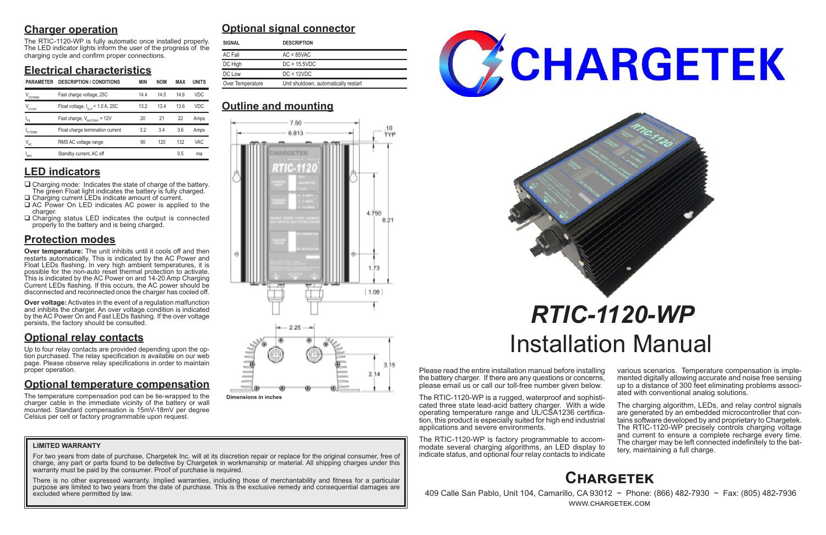# **Charger operation**

The RTIC-1120-WP is fully automatic once installed properly. The LED indicator lights inform the user of the progress of the charging cycle and confirm proper connections.

# **Electrical characteristics**

## **LED indicators**

- $\Box$  Charging mode: Indicates the state of charge of the battery. The green Float light indicates the battery is fully charged. □ Charging current LEDs indicate amount of current.
- □ AC Power On LED indicates AC power is applied to the charger.
- $\Box$  Charging status LED indicates the output is connected properly to the battery and is being charged.

# **Protection modes**

**Over temperature:** The unit inhibits until it cools off and then restarts automatically. This is indicated by the AC Power and Float LEDs flashing. In very high ambient temperatures, it is possible for the non-auto reset thermal protection to activate. This is indicated by the AC Power on and 14-20 Amp Charging Current LEDs flashing. If this occurs, the AC power should be disconnected and reconnected once the charger has cooled off.

**Over voltage:** Activates in the event of a regulation malfunction and inhibits the charger. An over voltage condition is indicated by the AC Power On and Fast LEDs flashing. If the over voltage persists, the factory should be consulted.

# **Optional relay contacts**

Up to four relay contacts are provided depending upon the option purchased. The relay specification is available on our web page. Please observe relay specifications in order to maintain proper operation.

> The charging algorithm, LEDs, and relay control signals are generated by an embedded microcontroller that contains software developed by and proprietary to Chargetek. The RTIC-1120-WP precisely controls charging voltage and current to ensure a complete recharge every time. The charger may be left connected indefinitely to the bat- tery, maintaining a full charge.

# **Optional temperature compensation**

For two years from date of purchase, Chargetek Inc. will at its discretion repair or replace for the original consumer, free of charge, any part or parts found to be defective by Chargetek in workmanship or material. All shipping charges under this warranty must be paid by the consumer. Proof of purchase is required.

The temperature compensation pod can be tie-wrapped to the charger cable in the immediate vicinity of the battery or wall mounted. Standard compensation is 15mV-18mV per degree Celsius per cell or factory programmable upon request.

Please read the entire installation manual before installing the battery charger. If there are any questions or concerns, please email us or call our toll-free number given below.

The RTIC-1120-WP is a rugged, waterproof and sophisticated three state lead-acid battery charger. With a wide operating temperature range and UL/CSA1236 certification, this product is especially suited for high end industrial applications and severe environments.

The RTIC-1120-WP is factory programmable to accommodate several charging algorithms, an LED display to indicate status, and optional four relay contacts to indicate various scenarios. Temperature compensation is imple- mented digitally allowing accurate and noise free sensing up to a distance of 300 feet eliminating problems associ- ated with conventional analog solutions.

# *RTIC-1120-WP* Installation Manual

# **Optional signal connector**

# **Outline and mounting**

# **Chargetek**

 409 Calle San Pablo, Unit 104, Camarillo, CA 93012 ~ Phone: (866) 482-7930 ~ Fax: (805) 482-7936 www.chargetek.com

## **LIMITED WARRANTY**

There is no other expressed warranty. Implied warranties, including those of merchantability and fitness for a particular purpose are limited to two years from the date of purchase. This is the exclusive remedy and consequential damages are excluded where permitted by law.



| <b>SIGNAL</b>    | <b>DESCRIPTION</b>                   |
|------------------|--------------------------------------|
| AC Fail          | $AC < 85$ VAC                        |
| DC High          | DC > 15.5VDC                         |
| DC Low           | DC < 12VDC                           |
| Over Temperature | Unit shutdown, automatically restart |

| <b>PARAMETER</b>              | <b>DESCRIPTION / CONDITIONS</b>              | <b>MIN</b> | <b>NOM</b> | <b>MAX</b> | <b>UNITS</b> | Over Temperature<br>Unit shutdown, automatically restart |  |  |
|-------------------------------|----------------------------------------------|------------|------------|------------|--------------|----------------------------------------------------------|--|--|
| $V_{\texttt{\tiny FSTERM}}$   | Fast charge voltage, 25C                     | 14.4       | 14.5       | 14.6       | VDC.         |                                                          |  |  |
| $\mathsf{V}_{\mathsf{FLOAT}}$ | Float voltage, $I_{\text{OUT}}$ < 1.0 A, 25C | 13.2       | 13.4       | 13.6       | <b>VDC</b>   | <b>Outline and mounting</b>                              |  |  |
| 'FS                           | Fast charge, $V_{\text{raffry}} = 12V$       | 20         | 21         | 22         | Amps         | 7.50.                                                    |  |  |
| FLTERM                        | Float charge termination current             | 3.2        | 3.4        | 3.6        | Amps         | 6.813                                                    |  |  |
| $V_{AC}$                      | RMS AC voltage range                         | 90         | 120        | 132        | <b>VAC</b>   |                                                          |  |  |
| $I_{SBY}$                     | Standby current, AC off                      |            |            | 0.5        | ma           | _________                                                |  |  |



**Dimensions in inches**